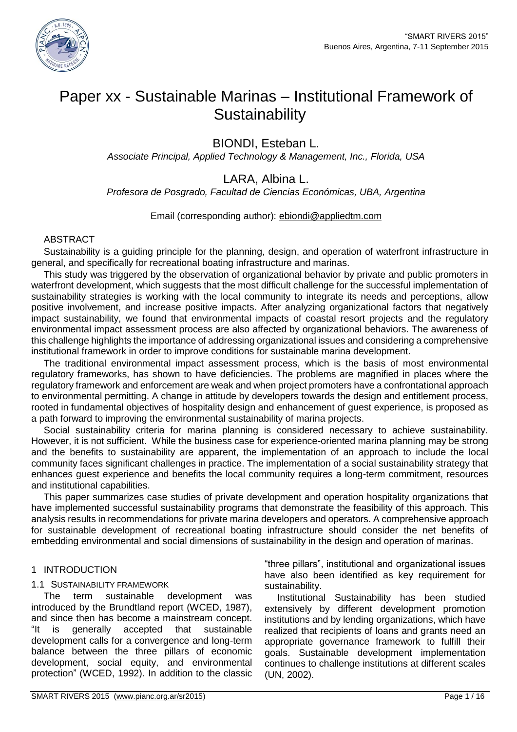

# Paper xx - Sustainable Marinas – Institutional Framework of **Sustainability**

BIONDI, Esteban L.

*Associate Principal, Applied Technology & Management, Inc., Florida, USA*

## LARA, Albina L.

*Profesora de Posgrado, Facultad de Ciencias Económicas, UBA, Argentina*

Email (corresponding author): [ebiondi@appliedtm.com](mailto:ebiondi@appliedtm.com)

### ABSTRACT

Sustainability is a guiding principle for the planning, design, and operation of waterfront infrastructure in general, and specifically for recreational boating infrastructure and marinas.

This study was triggered by the observation of organizational behavior by private and public promoters in waterfront development, which suggests that the most difficult challenge for the successful implementation of sustainability strategies is working with the local community to integrate its needs and perceptions, allow positive involvement, and increase positive impacts. After analyzing organizational factors that negatively impact sustainability, we found that environmental impacts of coastal resort projects and the regulatory environmental impact assessment process are also affected by organizational behaviors. The awareness of this challenge highlights the importance of addressing organizational issues and considering a comprehensive institutional framework in order to improve conditions for sustainable marina development.

The traditional environmental impact assessment process, which is the basis of most environmental regulatory frameworks, has shown to have deficiencies. The problems are magnified in places where the regulatory framework and enforcement are weak and when project promoters have a confrontational approach to environmental permitting. A change in attitude by developers towards the design and entitlement process, rooted in fundamental objectives of hospitality design and enhancement of guest experience, is proposed as a path forward to improving the environmental sustainability of marina projects.

Social sustainability criteria for marina planning is considered necessary to achieve sustainability. However, it is not sufficient. While the business case for experience-oriented marina planning may be strong and the benefits to sustainability are apparent, the implementation of an approach to include the local community faces significant challenges in practice. The implementation of a social sustainability strategy that enhances guest experience and benefits the local community requires a long-term commitment, resources and institutional capabilities.

This paper summarizes case studies of private development and operation hospitality organizations that have implemented successful sustainability programs that demonstrate the feasibility of this approach. This analysis results in recommendations for private marina developers and operators. A comprehensive approach for sustainable development of recreational boating infrastructure should consider the net benefits of embedding environmental and social dimensions of sustainability in the design and operation of marinas.

### 1 INTRODUCTION

### 1.1 SUSTAINABILITY FRAMEWORK

The term sustainable development was introduced by the Brundtland report (WCED, 1987), and since then has become a mainstream concept. "It is generally accepted that sustainable development calls for a convergence and long-term balance between the three pillars of economic development, social equity, and environmental protection" (WCED, 1992). In addition to the classic

"three pillars", institutional and organizational issues have also been identified as key requirement for sustainability.

Institutional Sustainability has been studied extensively by different development promotion institutions and by lending organizations, which have realized that recipients of loans and grants need an appropriate governance framework to fulfill their goals. Sustainable development implementation continues to challenge institutions at different scales (UN, 2002).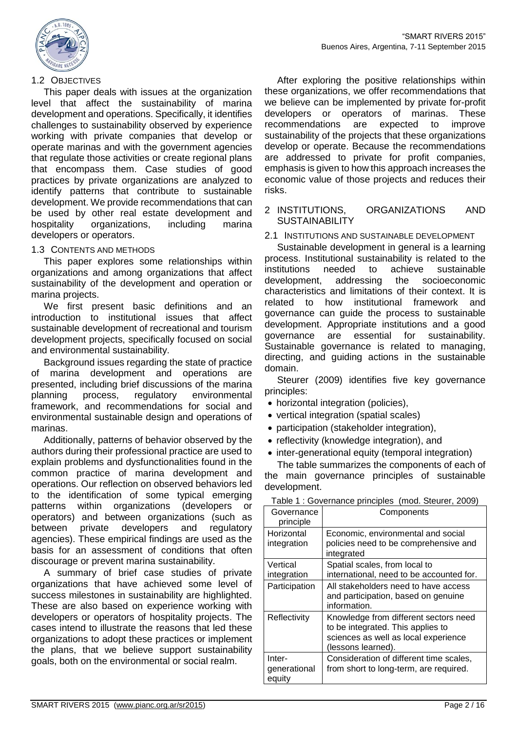

#### 1.2 OBJECTIVES

This paper deals with issues at the organization level that affect the sustainability of marina development and operations. Specifically, it identifies challenges to sustainability observed by experience working with private companies that develop or operate marinas and with the government agencies that regulate those activities or create regional plans that encompass them. Case studies of good practices by private organizations are analyzed to identify patterns that contribute to sustainable development. We provide recommendations that can be used by other real estate development and hospitality organizations, including marina developers or operators.

#### 1.3 CONTENTS AND METHODS

This paper explores some relationships within organizations and among organizations that affect sustainability of the development and operation or marina projects.

We first present basic definitions and an introduction to institutional issues that affect sustainable development of recreational and tourism development projects, specifically focused on social and environmental sustainability.

Background issues regarding the state of practice of marina development and operations are presented, including brief discussions of the marina planning process, regulatory environmental framework, and recommendations for social and environmental sustainable design and operations of marinas.

Additionally, patterns of behavior observed by the authors during their professional practice are used to explain problems and dysfunctionalities found in the common practice of marina development and operations. Our reflection on observed behaviors led to the identification of some typical emerging patterns within organizations (developers or operators) and between organizations (such as between private developers and regulatory agencies). These empirical findings are used as the basis for an assessment of conditions that often discourage or prevent marina sustainability.

A summary of brief case studies of private organizations that have achieved some level of success milestones in sustainability are highlighted. These are also based on experience working with developers or operators of hospitality projects. The cases intend to illustrate the reasons that led these organizations to adopt these practices or implement the plans, that we believe support sustainability goals, both on the environmental or social realm.

After exploring the positive relationships within these organizations, we offer recommendations that we believe can be implemented by private for-profit developers or operators of marinas. These recommendations are expected to improve sustainability of the projects that these organizations develop or operate. Because the recommendations are addressed to private for profit companies, emphasis is given to how this approach increases the economic value of those projects and reduces their risks.

#### 2 INSTITUTIONS, ORGANIZATIONS AND **SUSTAINABILITY**

2.1 INSTITUTIONS AND SUSTAINABLE DEVELOPMENT

Sustainable development in general is a learning process. Institutional sustainability is related to the institutions needed to achieve sustainable development, addressing the socioeconomic characteristics and limitations of their context. It is related to how institutional framework and governance can guide the process to sustainable development. Appropriate institutions and a good governance are essential for sustainability. Sustainable governance is related to managing, directing, and guiding actions in the sustainable domain.

Steurer (2009) identifies five key governance principles:

- horizontal integration (policies),
- vertical integration (spatial scales)
- participation (stakeholder integration),
- reflectivity (knowledge integration), and
- inter-generational equity (temporal integration)

The table summarizes the components of each of the main governance principles of sustainable development.

| Governance<br>principle          | Components                                                                                                                               |
|----------------------------------|------------------------------------------------------------------------------------------------------------------------------------------|
| Horizontal<br>integration        | Economic, environmental and social<br>policies need to be comprehensive and<br>integrated                                                |
| Vertical<br>integration          | Spatial scales, from local to<br>international, need to be accounted for.                                                                |
| Participation                    | All stakeholders need to have access<br>and participation, based on genuine<br>information.                                              |
| Reflectivity                     | Knowledge from different sectors need<br>to be integrated. This applies to<br>sciences as well as local experience<br>(lessons learned). |
| Inter-<br>generational<br>equity | Consideration of different time scales,<br>from short to long-term, are required.                                                        |

Table 1 : Governance principles (mod. Steurer, 2009)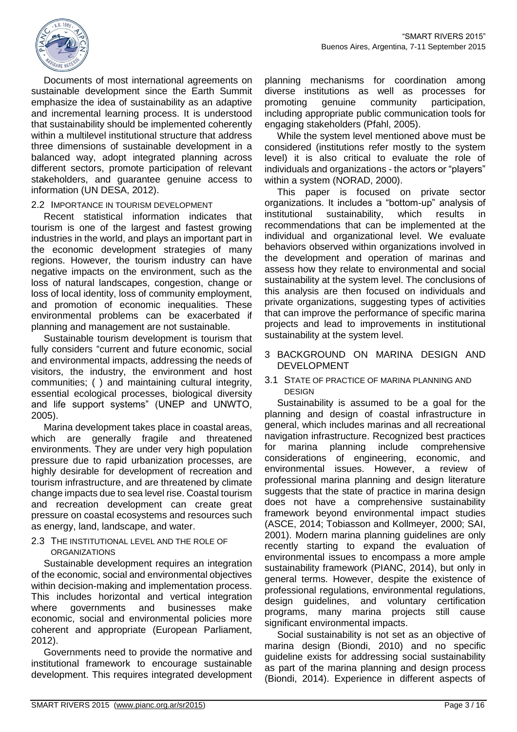

Documents of most international agreements on sustainable development since the Earth Summit emphasize the idea of sustainability as an adaptive and incremental learning process. It is understood that sustainability should be implemented coherently within a multilevel institutional structure that address three dimensions of sustainable development in a balanced way, adopt integrated planning across different sectors, promote participation of relevant stakeholders, and guarantee genuine access to information (UN DESA, 2012).

### 2.2 IMPORTANCE IN TOURISM DEVELOPMENT

Recent statistical information indicates that tourism is one of the largest and fastest growing industries in the world, and plays an important part in the economic development strategies of many regions. However, the tourism industry can have negative impacts on the environment, such as the loss of natural landscapes, congestion, change or loss of local identity, loss of community employment, and promotion of economic inequalities. These environmental problems can be exacerbated if planning and management are not sustainable.

Sustainable tourism development is tourism that fully considers "current and future economic, social and environmental impacts, addressing the needs of visitors, the industry, the environment and host communities; ( ) and maintaining cultural integrity, essential ecological processes, biological diversity and life support systems" (UNEP and UNWTO, 2005).

Marina development takes place in coastal areas, which are generally fragile and threatened environments. They are under very high population pressure due to rapid urbanization processes, are highly desirable for development of recreation and tourism infrastructure, and are threatened by climate change impacts due to sea level rise. Coastal tourism and recreation development can create great pressure on coastal ecosystems and resources such as energy, land, landscape, and water.

#### 2.3 THE INSTITUTIONAL LEVEL AND THE ROLE OF **ORGANIZATIONS**

Sustainable development requires an integration of the economic, social and environmental objectives within decision-making and implementation process. This includes horizontal and vertical integration where governments and businesses make economic, social and environmental policies more coherent and appropriate (European Parliament, 2012).

Governments need to provide the normative and institutional framework to encourage sustainable development. This requires integrated development

planning mechanisms for coordination among diverse institutions as well as processes for promoting genuine community participation, including appropriate public communication tools for engaging stakeholders (Pfahl, 2005).

While the system level mentioned above must be considered (institutions refer mostly to the system level) it is also critical to evaluate the role of individuals and organizations - the actors or "players" within a system (NORAD, 2000).

This paper is focused on private sector organizations. It includes a "bottom-up" analysis of institutional sustainability, which results in recommendations that can be implemented at the individual and organizational level. We evaluate behaviors observed within organizations involved in the development and operation of marinas and assess how they relate to environmental and social sustainability at the system level. The conclusions of this analysis are then focused on individuals and private organizations, suggesting types of activities that can improve the performance of specific marina projects and lead to improvements in institutional sustainability at the system level.

#### 3 BACKGROUND ON MARINA DESIGN AND DEVELOPMENT

#### 3.1 STATE OF PRACTICE OF MARINA PLANNING AND DESIGN

Sustainability is assumed to be a goal for the planning and design of coastal infrastructure in general, which includes marinas and all recreational navigation infrastructure. Recognized best practices for marina planning include comprehensive considerations of engineering, economic, and environmental issues. However, a review of professional marina planning and design literature suggests that the state of practice in marina design does not have a comprehensive sustainability framework beyond environmental impact studies (ASCE, 2014; Tobiasson and Kollmeyer, 2000; SAI, 2001). Modern marina planning guidelines are only recently starting to expand the evaluation of environmental issues to encompass a more ample sustainability framework (PIANC, 2014), but only in general terms. However, despite the existence of professional regulations, environmental regulations, design guidelines, and voluntary certification programs, many marina projects still cause significant environmental impacts.

Social sustainability is not set as an objective of marina design (Biondi, 2010) and no specific guideline exists for addressing social sustainability as part of the marina planning and design process (Biondi, 2014). Experience in different aspects of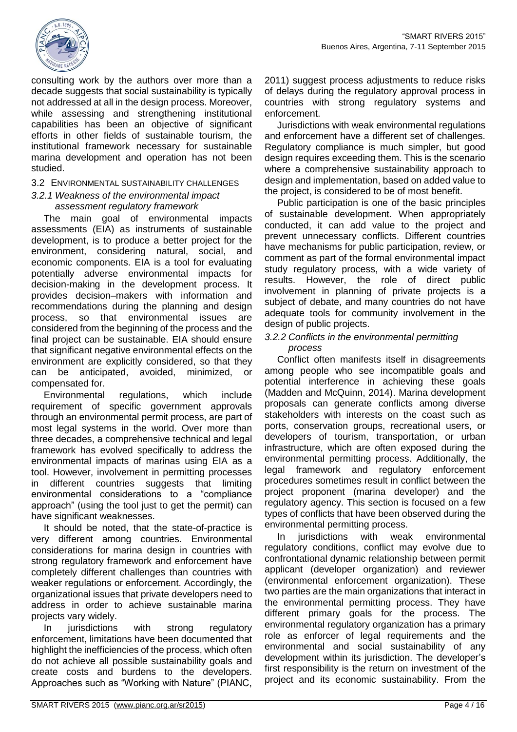

consulting work by the authors over more than a decade suggests that social sustainability is typically not addressed at all in the design process. Moreover, while assessing and strengthening institutional capabilities has been an objective of significant efforts in other fields of sustainable tourism, the institutional framework necessary for sustainable marina development and operation has not been studied.

### 3.2 ENVIRONMENTAL SUSTAINABILITY CHALLENGES

#### *3.2.1 Weakness of the environmental impact assessment regulatory framework*

The main goal of environmental impacts assessments (EIA) as instruments of sustainable development, is to produce a better project for the environment, considering natural, social, and economic components. EIA is a tool for evaluating potentially adverse environmental impacts for decision-making in the development process. It provides decision–makers with information and recommendations during the planning and design process, so that environmental issues are considered from the beginning of the process and the final project can be sustainable. EIA should ensure that significant negative environmental effects on the environment are explicitly considered, so that they can be anticipated, avoided, minimized, or compensated for.

Environmental regulations, which include requirement of specific government approvals through an environmental permit process, are part of most legal systems in the world. Over more than three decades, a comprehensive technical and legal framework has evolved specifically to address the environmental impacts of marinas using EIA as a tool. However, involvement in permitting processes in different countries suggests that limiting environmental considerations to a "compliance approach" (using the tool just to get the permit) can have significant weaknesses.

It should be noted, that the state-of-practice is very different among countries. Environmental considerations for marina design in countries with strong regulatory framework and enforcement have completely different challenges than countries with weaker regulations or enforcement. Accordingly, the organizational issues that private developers need to address in order to achieve sustainable marina projects vary widely.

In jurisdictions with strong regulatory enforcement, limitations have been documented that highlight the inefficiencies of the process, which often do not achieve all possible sustainability goals and create costs and burdens to the developers. Approaches such as "Working with Nature" (PIANC,

2011) suggest process adjustments to reduce risks of delays during the regulatory approval process in countries with strong regulatory systems and enforcement.

Jurisdictions with weak environmental regulations and enforcement have a different set of challenges. Regulatory compliance is much simpler, but good design requires exceeding them. This is the scenario where a comprehensive sustainability approach to design and implementation, based on added value to the project, is considered to be of most benefit.

Public participation is one of the basic principles of sustainable development. When appropriately conducted, it can add value to the project and prevent unnecessary conflicts. Different countries have mechanisms for public participation, review, or comment as part of the formal environmental impact study regulatory process, with a wide variety of results. However, the role of direct public involvement in planning of private projects is a subject of debate, and many countries do not have adequate tools for community involvement in the design of public projects.

#### *3.2.2 Conflicts in the environmental permitting process*

Conflict often manifests itself in disagreements among people who see incompatible goals and potential interference in achieving these goals (Madden and McQuinn, 2014). Marina development proposals can generate conflicts among diverse stakeholders with interests on the coast such as ports, conservation groups, recreational users, or developers of tourism, transportation, or urban infrastructure, which are often exposed during the environmental permitting process. Additionally, the legal framework and regulatory enforcement procedures sometimes result in conflict between the project proponent (marina developer) and the regulatory agency. This section is focused on a few types of conflicts that have been observed during the environmental permitting process.

In jurisdictions with weak environmental regulatory conditions, conflict may evolve due to confrontational dynamic relationship between permit applicant (developer organization) and reviewer (environmental enforcement organization). These two parties are the main organizations that interact in the environmental permitting process. They have different primary goals for the process. The environmental regulatory organization has a primary role as enforcer of legal requirements and the environmental and social sustainability of any development within its jurisdiction. The developer's first responsibility is the return on investment of the project and its economic sustainability. From the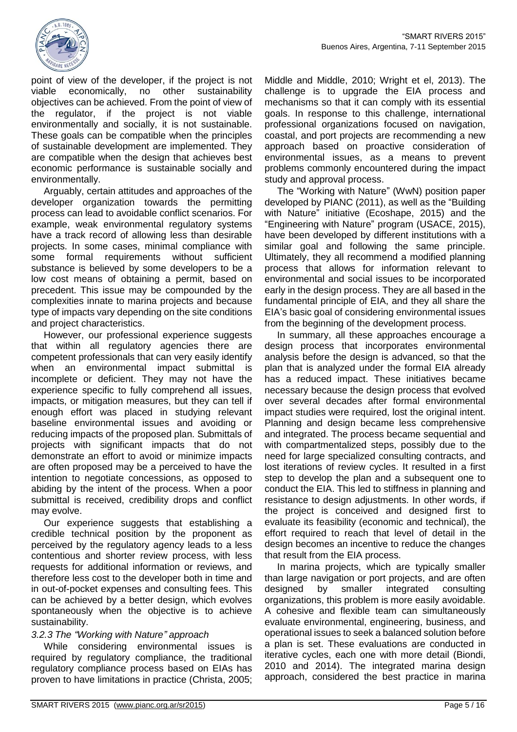

point of view of the developer, if the project is not viable economically, no other sustainability objectives can be achieved. From the point of view of the regulator, if the project is not viable environmentally and socially, it is not sustainable. These goals can be compatible when the principles of sustainable development are implemented. They are compatible when the design that achieves best economic performance is sustainable socially and environmentally.

Arguably, certain attitudes and approaches of the developer organization towards the permitting process can lead to avoidable conflict scenarios. For example, weak environmental regulatory systems have a track record of allowing less than desirable projects. In some cases, minimal compliance with some formal requirements without sufficient substance is believed by some developers to be a low cost means of obtaining a permit, based on precedent. This issue may be compounded by the complexities innate to marina projects and because type of impacts vary depending on the site conditions and project characteristics.

However, our professional experience suggests that within all regulatory agencies there are competent professionals that can very easily identify when an environmental impact submittal is incomplete or deficient. They may not have the experience specific to fully comprehend all issues, impacts, or mitigation measures, but they can tell if enough effort was placed in studying relevant baseline environmental issues and avoiding or reducing impacts of the proposed plan. Submittals of projects with significant impacts that do not demonstrate an effort to avoid or minimize impacts are often proposed may be a perceived to have the intention to negotiate concessions, as opposed to abiding by the intent of the process. When a poor submittal is received, credibility drops and conflict may evolve.

Our experience suggests that establishing a credible technical position by the proponent as perceived by the regulatory agency leads to a less contentious and shorter review process, with less requests for additional information or reviews, and therefore less cost to the developer both in time and in out-of-pocket expenses and consulting fees. This can be achieved by a better design, which evolves spontaneously when the objective is to achieve sustainability.

### *3.2.3 The "Working with Nature" approach*

While considering environmental issues is required by regulatory compliance, the traditional regulatory compliance process based on EIAs has proven to have limitations in practice (Christa, 2005; Middle and Middle, 2010; Wright et el, 2013). The challenge is to upgrade the EIA process and mechanisms so that it can comply with its essential goals. In response to this challenge, international professional organizations focused on navigation, coastal, and port projects are recommending a new approach based on proactive consideration of environmental issues, as a means to prevent problems commonly encountered during the impact study and approval process.

The "Working with Nature" (WwN) position paper developed by PIANC (2011), as well as the "Building with Nature" initiative (Ecoshape, 2015) and the "Engineering with Nature" program (USACE, 2015), have been developed by different institutions with a similar goal and following the same principle. Ultimately, they all recommend a modified planning process that allows for information relevant to environmental and social issues to be incorporated early in the design process. They are all based in the fundamental principle of EIA, and they all share the EIA's basic goal of considering environmental issues from the beginning of the development process.

In summary, all these approaches encourage a design process that incorporates environmental analysis before the design is advanced, so that the plan that is analyzed under the formal EIA already has a reduced impact. These initiatives became necessary because the design process that evolved over several decades after formal environmental impact studies were required, lost the original intent. Planning and design became less comprehensive and integrated. The process became sequential and with compartmentalized steps, possibly due to the need for large specialized consulting contracts, and lost iterations of review cycles. It resulted in a first step to develop the plan and a subsequent one to conduct the EIA. This led to stiffness in planning and resistance to design adjustments. In other words, if the project is conceived and designed first to evaluate its feasibility (economic and technical), the effort required to reach that level of detail in the design becomes an incentive to reduce the changes that result from the EIA process.

In marina projects, which are typically smaller than large navigation or port projects, and are often designed by smaller integrated consulting organizations, this problem is more easily avoidable. A cohesive and flexible team can simultaneously evaluate environmental, engineering, business, and operational issues to seek a balanced solution before a plan is set. These evaluations are conducted in iterative cycles, each one with more detail (Biondi, 2010 and 2014). The integrated marina design approach, considered the best practice in marina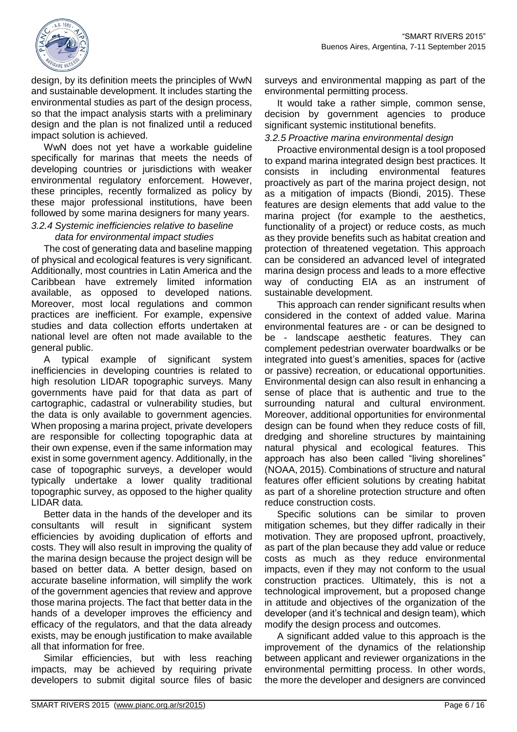

design, by its definition meets the principles of WwN and sustainable development. It includes starting the environmental studies as part of the design process, so that the impact analysis starts with a preliminary design and the plan is not finalized until a reduced impact solution is achieved.

WwN does not yet have a workable guideline specifically for marinas that meets the needs of developing countries or jurisdictions with weaker environmental regulatory enforcement. However, these principles, recently formalized as policy by these major professional institutions, have been followed by some marina designers for many years.

#### *3.2.4 Systemic inefficiencies relative to baseline data for environmental impact studies*

The cost of generating data and baseline mapping of physical and ecological features is very significant. Additionally, most countries in Latin America and the Caribbean have extremely limited information available, as opposed to developed nations. Moreover, most local regulations and common practices are inefficient. For example, expensive studies and data collection efforts undertaken at national level are often not made available to the general public.

A typical example of significant system inefficiencies in developing countries is related to high resolution LIDAR topographic surveys. Many governments have paid for that data as part of cartographic, cadastral or vulnerability studies, but the data is only available to government agencies. When proposing a marina project, private developers are responsible for collecting topographic data at their own expense, even if the same information may exist in some government agency. Additionally, in the case of topographic surveys, a developer would typically undertake a lower quality traditional topographic survey, as opposed to the higher quality LIDAR data.

Better data in the hands of the developer and its consultants will result in significant system efficiencies by avoiding duplication of efforts and costs. They will also result in improving the quality of the marina design because the project design will be based on better data. A better design, based on accurate baseline information, will simplify the work of the government agencies that review and approve those marina projects. The fact that better data in the hands of a developer improves the efficiency and efficacy of the regulators, and that the data already exists, may be enough justification to make available all that information for free.

Similar efficiencies, but with less reaching impacts, may be achieved by requiring private developers to submit digital source files of basic surveys and environmental mapping as part of the environmental permitting process.

It would take a rather simple, common sense, decision by government agencies to produce significant systemic institutional benefits.

### *3.2.5 Proactive marina environmental design*

Proactive environmental design is a tool proposed to expand marina integrated design best practices. It consists in including environmental features proactively as part of the marina project design, not as a mitigation of impacts (Biondi, 2015). These features are design elements that add value to the marina project (for example to the aesthetics, functionality of a project) or reduce costs, as much as they provide benefits such as habitat creation and protection of threatened vegetation. This approach can be considered an advanced level of integrated marina design process and leads to a more effective way of conducting EIA as an instrument of sustainable development.

This approach can render significant results when considered in the context of added value. Marina environmental features are - or can be designed to be - landscape aesthetic features. They can complement pedestrian overwater boardwalks or be integrated into guest's amenities, spaces for (active or passive) recreation, or educational opportunities. Environmental design can also result in enhancing a sense of place that is authentic and true to the surrounding natural and cultural environment. Moreover, additional opportunities for environmental design can be found when they reduce costs of fill, dredging and shoreline structures by maintaining natural physical and ecological features. This approach has also been called "living shorelines" (NOAA, 2015). Combinations of structure and natural features offer efficient solutions by creating habitat as part of a shoreline protection structure and often reduce construction costs.

Specific solutions can be similar to proven mitigation schemes, but they differ radically in their motivation. They are proposed upfront, proactively, as part of the plan because they add value or reduce costs as much as they reduce environmental impacts, even if they may not conform to the usual construction practices. Ultimately, this is not a technological improvement, but a proposed change in attitude and objectives of the organization of the developer (and it's technical and design team), which modify the design process and outcomes.

A significant added value to this approach is the improvement of the dynamics of the relationship between applicant and reviewer organizations in the environmental permitting process. In other words, the more the developer and designers are convinced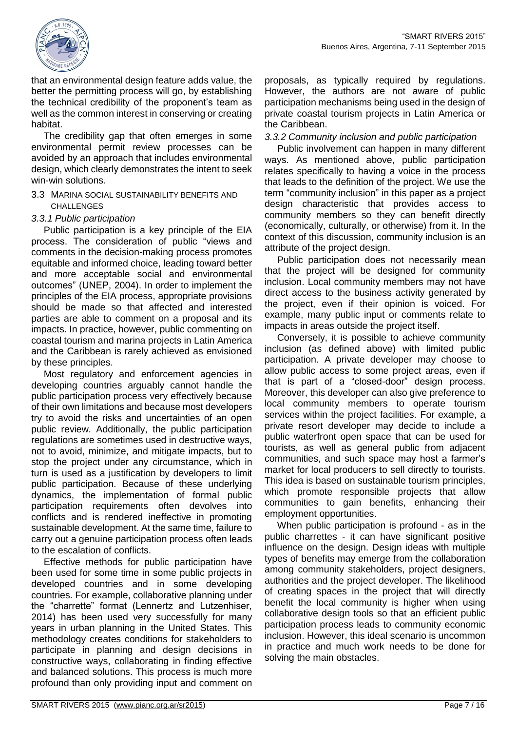

that an environmental design feature adds value, the better the permitting process will go, by establishing the technical credibility of the proponent's team as well as the common interest in conserving or creating habitat.

The credibility gap that often emerges in some environmental permit review processes can be avoided by an approach that includes environmental design, which clearly demonstrates the intent to seek win-win solutions.

3.3 MARINA SOCIAL SUSTAINABILITY BENEFITS AND CHALLENGES

### *3.3.1 Public participation*

Public participation is a key principle of the EIA process. The consideration of public "views and comments in the decision-making process promotes equitable and informed choice, leading toward better and more acceptable social and environmental outcomes" (UNEP, 2004). In order to implement the principles of the EIA process, appropriate provisions should be made so that affected and interested parties are able to comment on a proposal and its impacts. In practice, however, public commenting on coastal tourism and marina projects in Latin America and the Caribbean is rarely achieved as envisioned by these principles.

Most regulatory and enforcement agencies in developing countries arguably cannot handle the public participation process very effectively because of their own limitations and because most developers try to avoid the risks and uncertainties of an open public review. Additionally, the public participation regulations are sometimes used in destructive ways, not to avoid, minimize, and mitigate impacts, but to stop the project under any circumstance, which in turn is used as a justification by developers to limit public participation. Because of these underlying dynamics, the implementation of formal public participation requirements often devolves into conflicts and is rendered ineffective in promoting sustainable development. At the same time, failure to carry out a genuine participation process often leads to the escalation of conflicts.

Effective methods for public participation have been used for some time in some public projects in developed countries and in some developing countries. For example, collaborative planning under the "charrette" format (Lennertz and Lutzenhiser, 2014) has been used very successfully for many years in urban planning in the United States. This methodology creates conditions for stakeholders to participate in planning and design decisions in constructive ways, collaborating in finding effective and balanced solutions. This process is much more profound than only providing input and comment on

proposals, as typically required by regulations. However, the authors are not aware of public participation mechanisms being used in the design of private coastal tourism projects in Latin America or the Caribbean.

#### *3.3.2 Community inclusion and public participation*

Public involvement can happen in many different ways. As mentioned above, public participation relates specifically to having a voice in the process that leads to the definition of the project. We use the term "community inclusion" in this paper as a project design characteristic that provides access to community members so they can benefit directly (economically, culturally, or otherwise) from it. In the context of this discussion, community inclusion is an attribute of the project design.

Public participation does not necessarily mean that the project will be designed for community inclusion. Local community members may not have direct access to the business activity generated by the project, even if their opinion is voiced. For example, many public input or comments relate to impacts in areas outside the project itself.

Conversely, it is possible to achieve community inclusion (as defined above) with limited public participation. A private developer may choose to allow public access to some project areas, even if that is part of a "closed-door" design process. Moreover, this developer can also give preference to local community members to operate tourism services within the project facilities. For example, a private resort developer may decide to include a public waterfront open space that can be used for tourists, as well as general public from adjacent communities, and such space may host a farmer's market for local producers to sell directly to tourists. This idea is based on sustainable tourism principles, which promote responsible projects that allow communities to gain benefits, enhancing their employment opportunities.

When public participation is profound - as in the public charrettes - it can have significant positive influence on the design. Design ideas with multiple types of benefits may emerge from the collaboration among community stakeholders, project designers, authorities and the project developer. The likelihood of creating spaces in the project that will directly benefit the local community is higher when using collaborative design tools so that an efficient public participation process leads to community economic inclusion. However, this ideal scenario is uncommon in practice and much work needs to be done for solving the main obstacles.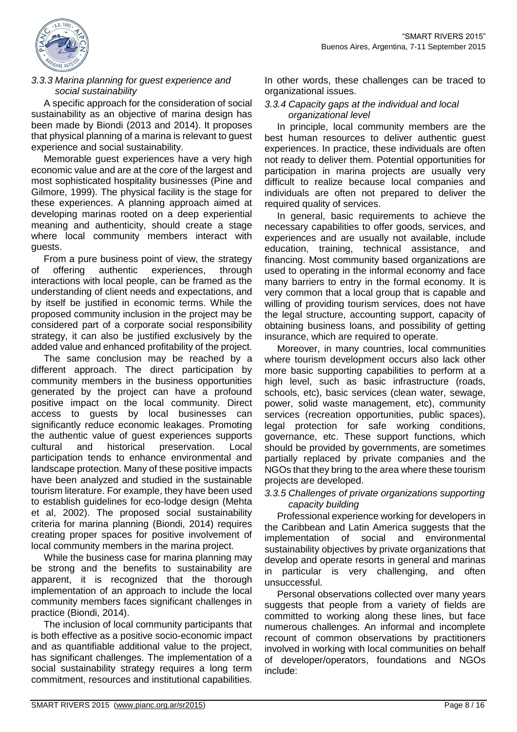

### *3.3.3 Marina planning for guest experience and social sustainability*

A specific approach for the consideration of social sustainability as an objective of marina design has been made by Biondi (2013 and 2014). It proposes that physical planning of a marina is relevant to guest experience and social sustainability.

Memorable guest experiences have a very high economic value and are at the core of the largest and most sophisticated hospitality businesses (Pine and Gilmore, 1999). The physical facility is the stage for these experiences. A planning approach aimed at developing marinas rooted on a deep experiential meaning and authenticity, should create a stage where local community members interact with guests.

From a pure business point of view, the strategy of offering authentic experiences, through interactions with local people, can be framed as the understanding of client needs and expectations, and by itself be justified in economic terms. While the proposed community inclusion in the project may be considered part of a corporate social responsibility strategy, it can also be justified exclusively by the added value and enhanced profitability of the project.

The same conclusion may be reached by a different approach. The direct participation by community members in the business opportunities generated by the project can have a profound positive impact on the local community. Direct access to guests by local businesses can significantly reduce economic leakages. Promoting the authentic value of guest experiences supports cultural and historical preservation. Local participation tends to enhance environmental and landscape protection. Many of these positive impacts have been analyzed and studied in the sustainable tourism literature. For example, they have been used to establish guidelines for eco-lodge design (Mehta et al, 2002). The proposed social sustainability criteria for marina planning (Biondi, 2014) requires creating proper spaces for positive involvement of local community members in the marina project.

While the business case for marina planning may be strong and the benefits to sustainability are apparent, it is recognized that the thorough implementation of an approach to include the local community members faces significant challenges in practice (Biondi, 2014).

The inclusion of local community participants that is both effective as a positive socio-economic impact and as quantifiable additional value to the project, has significant challenges. The implementation of a social sustainability strategy requires a long term commitment, resources and institutional capabilities.

In other words, these challenges can be traced to organizational issues.

#### *3.3.4 Capacity gaps at the individual and local organizational level*

In principle, local community members are the best human resources to deliver authentic guest experiences. In practice, these individuals are often not ready to deliver them. Potential opportunities for participation in marina projects are usually very difficult to realize because local companies and individuals are often not prepared to deliver the required quality of services.

In general, basic requirements to achieve the necessary capabilities to offer goods, services, and experiences and are usually not available, include education, training, technical assistance, and financing. Most community based organizations are used to operating in the informal economy and face many barriers to entry in the formal economy. It is very common that a local group that is capable and willing of providing tourism services, does not have the legal structure, accounting support, capacity of obtaining business loans, and possibility of getting insurance, which are required to operate.

Moreover, in many countries, local communities where tourism development occurs also lack other more basic supporting capabilities to perform at a high level, such as basic infrastructure (roads, schools, etc), basic services (clean water, sewage, power, solid waste management, etc), community services (recreation opportunities, public spaces), legal protection for safe working conditions, governance, etc. These support functions, which should be provided by governments, are sometimes partially replaced by private companies and the NGOs that they bring to the area where these tourism projects are developed.

### *3.3.5 Challenges of private organizations supporting capacity building*

Professional experience working for developers in the Caribbean and Latin America suggests that the implementation of social and environmental sustainability objectives by private organizations that develop and operate resorts in general and marinas in particular is very challenging, and often unsuccessful.

Personal observations collected over many years suggests that people from a variety of fields are committed to working along these lines, but face numerous challenges. An informal and incomplete recount of common observations by practitioners involved in working with local communities on behalf of developer/operators, foundations and NGOs include: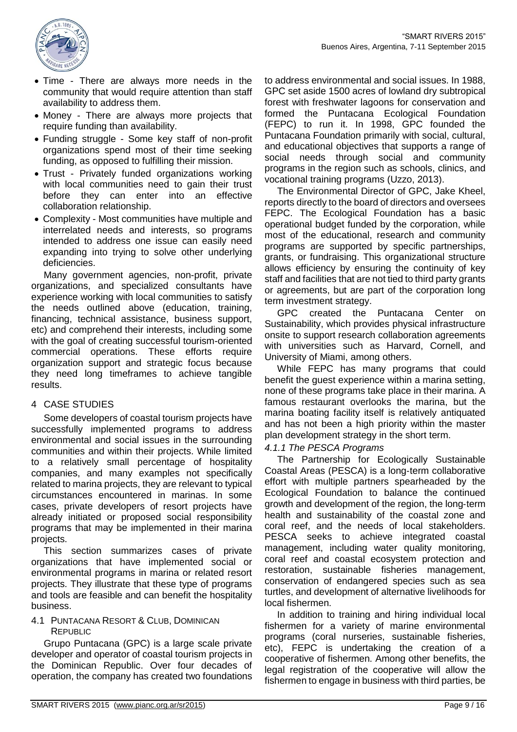

- Time There are always more needs in the community that would require attention than staff availability to address them.
- Money There are always more projects that require funding than availability.
- Funding struggle Some key staff of non-profit organizations spend most of their time seeking funding, as opposed to fulfilling their mission.
- Trust Privately funded organizations working with local communities need to gain their trust before they can enter into an effective collaboration relationship.
- Complexity Most communities have multiple and interrelated needs and interests, so programs intended to address one issue can easily need expanding into trying to solve other underlying deficiencies.

Many government agencies, non-profit, private organizations, and specialized consultants have experience working with local communities to satisfy the needs outlined above (education, training, financing, technical assistance, business support, etc) and comprehend their interests, including some with the goal of creating successful tourism-oriented commercial operations. These efforts require organization support and strategic focus because they need long timeframes to achieve tangible results.

### 4 CASE STUDIES

Some developers of coastal tourism projects have successfully implemented programs to address environmental and social issues in the surrounding communities and within their projects. While limited to a relatively small percentage of hospitality companies, and many examples not specifically related to marina projects, they are relevant to typical circumstances encountered in marinas. In some cases, private developers of resort projects have already initiated or proposed social responsibility programs that may be implemented in their marina projects.

This section summarizes cases of private organizations that have implemented social or environmental programs in marina or related resort projects. They illustrate that these type of programs and tools are feasible and can benefit the hospitality business.

4.1 PUNTACANA RESORT & CLUB, DOMINICAN REPUBLIC

Grupo Puntacana (GPC) is a large scale private developer and operator of coastal tourism projects in the Dominican Republic. Over four decades of operation, the company has created two foundations

to address environmental and social issues. In 1988, GPC set aside 1500 acres of lowland dry subtropical forest with freshwater lagoons for conservation and formed the Puntacana Ecological Foundation (FEPC) to run it. In 1998, GPC founded the Puntacana Foundation primarily with social, cultural, and educational objectives that supports a range of social needs through social and community programs in the region such as schools, clinics, and vocational training programs (Uzzo, 2013).

The Environmental Director of GPC, Jake Kheel, reports directly to the board of directors and oversees FEPC. The Ecological Foundation has a basic operational budget funded by the corporation, while most of the educational, research and community programs are supported by specific partnerships, grants, or fundraising. This organizational structure allows efficiency by ensuring the continuity of key staff and facilities that are not tied to third party grants or agreements, but are part of the corporation long term investment strategy.

GPC created the Puntacana Center on Sustainability, which provides physical infrastructure onsite to support research collaboration agreements with universities such as Harvard, Cornell, and University of Miami, among others.

While FEPC has many programs that could benefit the guest experience within a marina setting, none of these programs take place in their marina. A famous restaurant overlooks the marina, but the marina boating facility itself is relatively antiquated and has not been a high priority within the master plan development strategy in the short term.

### *4.1.1 The PESCA Programs*

The Partnership for Ecologically Sustainable Coastal Areas (PESCA) is a long‐term collaborative effort with multiple partners spearheaded by the Ecological Foundation to balance the continued growth and development of the region, the long‐term health and sustainability of the coastal zone and coral reef, and the needs of local stakeholders. PESCA seeks to achieve integrated coastal management, including water quality monitoring, coral reef and coastal ecosystem protection and restoration, sustainable fisheries management, conservation of endangered species such as sea turtles, and development of alternative livelihoods for local fishermen.

In addition to training and hiring individual local fishermen for a variety of marine environmental programs (coral nurseries, sustainable fisheries, etc), FEPC is undertaking the creation of a cooperative of fishermen. Among other benefits, the legal registration of the cooperative will allow the fishermen to engage in business with third parties, be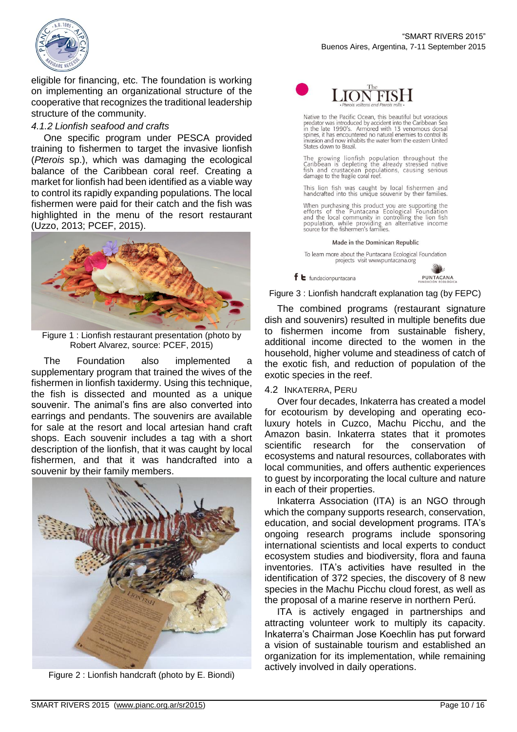

eligible for financing, etc. The foundation is working on implementing an organizational structure of the cooperative that recognizes the traditional leadership structure of the community.

### *4.1.2 Lionfish seafood and crafts*

One specific program under PESCA provided training to fishermen to target the invasive lionfish (*Pterois* sp.), which was damaging the ecological balance of the Caribbean coral reef. Creating a market for lionfish had been identified as a viable way to control its rapidly expanding populations. The local fishermen were paid for their catch and the fish was highlighted in the menu of the resort restaurant (Uzzo, 2013; PCEF, 2015).



Figure 1 : Lionfish restaurant presentation (photo by Robert Alvarez, source: PCEF, 2015)

The Foundation also implemented a supplementary program that trained the wives of the fishermen in lionfish taxidermy. Using this technique, the fish is dissected and mounted as a unique souvenir. The animal's fins are also converted into earrings and pendants. The souvenirs are available for sale at the resort and local artesian hand craft shops. Each souvenir includes a tag with a short description of the lionfish, that it was caught by local fishermen, and that it was handcrafted into a souvenir by their family members.



Figure 2 : Lionfish handcraft (photo by E. Biondi)



Native to the Pacific Ocean, this beautiful but voracious<br>predator was introduced by accident into the Caribbean Sea<br>in the late 1990's. Armored with 13 venomous dorsal<br>spines, it has encountered no natural enemies to cont invasion and now inhabits the water from the eastern United States down to Brazil.

The growing lionfish population throughout the<br>Caribbean is depleting the already stressed native<br>fish and crustacean populations, causing serious<br>damage to the fragile coral reef.

This lion fish was caught by local fishermen and<br>handcrafted into this unique souvenir by their families.

When purchasing this product you are supporting the<br>efforts of the Puntacana Ecological Foundation<br>and the local community in controlling the lion fish<br>population, while providing an alternative income<br>source for the fishe

Made in the Dominican Republic

To learn more about the Puntacana Ecological Foundation projects visit wwwpuntacana.org

PUNTACANA

Figure 3 : Lionfish handcraft explanation tag (by FEPC)

The combined programs (restaurant signature dish and souvenirs) resulted in multiple benefits due to fishermen income from sustainable fishery, additional income directed to the women in the household, higher volume and steadiness of catch of the exotic fish, and reduction of population of the exotic species in the reef.

### 4.2 INKATERRA, PERU

 $f$   $\epsilon$  fundacionpuntacana

Over four decades, Inkaterra has created a model for ecotourism by developing and operating ecoluxury hotels in Cuzco, Machu Picchu, and the Amazon basin. Inkaterra states that it promotes scientific research for the conservation of ecosystems and natural resources, collaborates with local communities, and offers authentic experiences to guest by incorporating the local culture and nature in each of their properties.

Inkaterra Association (ITA) is an NGO through which the company supports research, conservation, education, and social development programs. ITA's ongoing research programs include sponsoring international scientists and local experts to conduct ecosystem studies and biodiversity, flora and fauna inventories. ITA's activities have resulted in the identification of 372 species, the discovery of 8 new species in the Machu Picchu cloud forest, as well as the proposal of a marine reserve in northern Perú.

ITA is actively engaged in partnerships and attracting volunteer work to multiply its capacity. Inkaterra's Chairman Jose Koechlin has put forward a vision of sustainable tourism and established an organization for its implementation, while remaining actively involved in daily operations.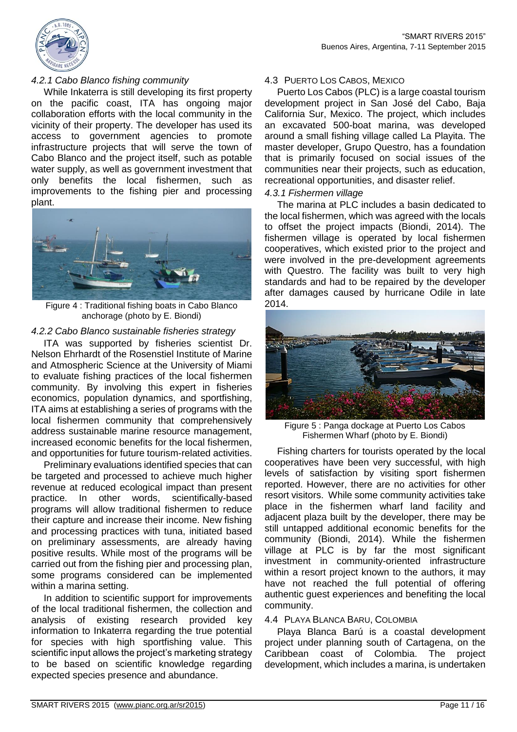

### *4.2.1 Cabo Blanco fishing community*

While Inkaterra is still developing its first property on the pacific coast, ITA has ongoing major collaboration efforts with the local community in the vicinity of their property. The developer has used its access to government agencies to promote infrastructure projects that will serve the town of Cabo Blanco and the project itself, such as potable water supply, as well as government investment that only benefits the local fishermen, such as improvements to the fishing pier and processing plant.



Figure 4 : Traditional fishing boats in Cabo Blanco anchorage (photo by E. Biondi)

#### *4.2.2 Cabo Blanco sustainable fisheries strategy*

ITA was supported by fisheries scientist Dr. Nelson Ehrhardt of the Rosenstiel Institute of Marine and Atmospheric Science at the University of Miami to evaluate fishing practices of the local fishermen community. By involving this expert in fisheries economics, population dynamics, and sportfishing, ITA aims at establishing a series of programs with the local fishermen community that comprehensively address sustainable marine resource management, increased economic benefits for the local fishermen, and opportunities for future tourism-related activities.

Preliminary evaluations identified species that can be targeted and processed to achieve much higher revenue at reduced ecological impact than present practice. In other words, scientifically-based programs will allow traditional fishermen to reduce their capture and increase their income. New fishing and processing practices with tuna, initiated based on preliminary assessments, are already having positive results. While most of the programs will be carried out from the fishing pier and processing plan, some programs considered can be implemented within a marina setting.

In addition to scientific support for improvements of the local traditional fishermen, the collection and analysis of existing research provided key information to Inkaterra regarding the true potential for species with high sportfishing value. This scientific input allows the project's marketing strategy to be based on scientific knowledge regarding expected species presence and abundance.

#### 4.3 PUERTO LOS CABOS, MEXICO

Puerto Los Cabos (PLC) is a large coastal tourism development project in San José del Cabo, Baja California Sur, Mexico. The project, which includes an excavated 500-boat marina, was developed around a small fishing village called La Playita. The master developer, Grupo Questro, has a foundation that is primarily focused on social issues of the communities near their projects, such as education, recreational opportunities, and disaster relief.

#### *4.3.1 Fishermen village*

The marina at PLC includes a basin dedicated to the local fishermen, which was agreed with the locals to offset the project impacts (Biondi, 2014). The fishermen village is operated by local fishermen cooperatives, which existed prior to the project and were involved in the pre-development agreements with Questro. The facility was built to very high standards and had to be repaired by the developer after damages caused by hurricane Odile in late 2014.



Figure 5 : Panga dockage at Puerto Los Cabos Fishermen Wharf (photo by E. Biondi)

Fishing charters for tourists operated by the local cooperatives have been very successful, with high levels of satisfaction by visiting sport fishermen reported. However, there are no activities for other resort visitors. While some community activities take place in the fishermen wharf land facility and adjacent plaza built by the developer, there may be still untapped additional economic benefits for the community (Biondi, 2014). While the fishermen village at PLC is by far the most significant investment in community-oriented infrastructure within a resort project known to the authors, it may have not reached the full potential of offering authentic guest experiences and benefiting the local community.

#### 4.4 PLAYA BLANCA BARU, COLOMBIA

Playa Blanca Barú is a coastal development project under planning south of Cartagena, on the Caribbean coast of Colombia. The project development, which includes a marina, is undertaken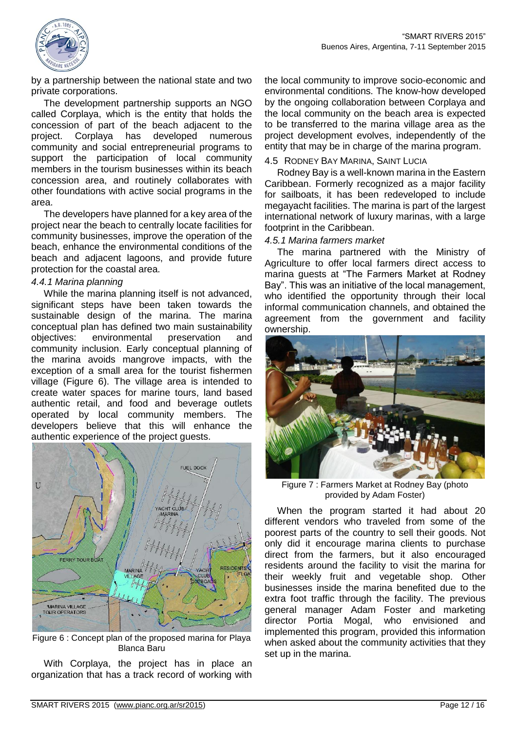

by a partnership between the national state and two private corporations.

The development partnership supports an NGO called Corplaya, which is the entity that holds the concession of part of the beach adjacent to the project. Corplaya has developed numerous community and social entrepreneurial programs to support the participation of local community members in the tourism businesses within its beach concession area, and routinely collaborates with other foundations with active social programs in the area.

The developers have planned for a key area of the project near the beach to centrally locate facilities for community businesses, improve the operation of the beach, enhance the environmental conditions of the beach and adjacent lagoons, and provide future protection for the coastal area.

### *4.4.1 Marina planning*

While the marina planning itself is not advanced, significant steps have been taken towards the sustainable design of the marina. The marina conceptual plan has defined two main sustainability objectives: environmental preservation and community inclusion. Early conceptual planning of the marina avoids mangrove impacts, with the exception of a small area for the tourist fishermen village [\(Figure 6\)](#page-11-0). The village area is intended to create water spaces for marine tours, land based authentic retail, and food and beverage outlets operated by local community members. The developers believe that this will enhance the authentic experience of the project guests.



Figure 6 : Concept plan of the proposed marina for Playa Blanca Baru

<span id="page-11-0"></span>With Corplaya, the project has in place an organization that has a track record of working with the local community to improve socio-economic and environmental conditions. The know-how developed by the ongoing collaboration between Corplaya and the local community on the beach area is expected to be transferred to the marina village area as the project development evolves, independently of the entity that may be in charge of the marina program.

#### 4.5 RODNEY BAY MARINA, SAINT LUCIA

Rodney Bay is a well-known marina in the Eastern Caribbean. Formerly recognized as a major facility for sailboats, it has been redeveloped to include megayacht facilities. The marina is part of the largest international network of luxury marinas, with a large footprint in the Caribbean.

#### *4.5.1 Marina farmers market*

The marina partnered with the Ministry of Agriculture to offer local farmers direct access to marina guests at "The Farmers Market at Rodney Bay". This was an initiative of the local management, who identified the opportunity through their local informal communication channels, and obtained the agreement from the government and facility ownership.



Figure 7 : Farmers Market at Rodney Bay (photo provided by Adam Foster)

When the program started it had about 20 different vendors who traveled from some of the poorest parts of the country to sell their goods. Not only did it encourage marina clients to purchase direct from the farmers, but it also encouraged residents around the facility to visit the marina for their weekly fruit and vegetable shop. Other businesses inside the marina benefited due to the extra foot traffic through the facility. The previous general manager Adam Foster and marketing director Portia Mogal, who envisioned and implemented this program, provided this information when asked about the community activities that they set up in the marina.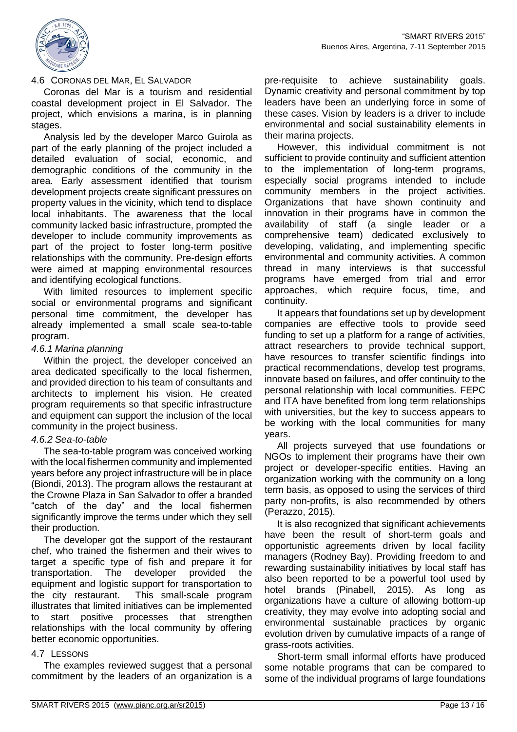

### 4.6 CORONAS DEL MAR, EL SALVADOR

Coronas del Mar is a tourism and residential coastal development project in El Salvador. The project, which envisions a marina, is in planning stages.

Analysis led by the developer Marco Guirola as part of the early planning of the project included a detailed evaluation of social, economic, and demographic conditions of the community in the area. Early assessment identified that tourism development projects create significant pressures on property values in the vicinity, which tend to displace local inhabitants. The awareness that the local community lacked basic infrastructure, prompted the developer to include community improvements as part of the project to foster long-term positive relationships with the community. Pre-design efforts were aimed at mapping environmental resources and identifying ecological functions.

With limited resources to implement specific social or environmental programs and significant personal time commitment, the developer has already implemented a small scale sea-to-table program.

#### *4.6.1 Marina planning*

Within the project, the developer conceived an area dedicated specifically to the local fishermen, and provided direction to his team of consultants and architects to implement his vision. He created program requirements so that specific infrastructure and equipment can support the inclusion of the local community in the project business.

### *4.6.2 Sea-to-table*

The sea-to-table program was conceived working with the local fishermen community and implemented years before any project infrastructure will be in place (Biondi, 2013). The program allows the restaurant at the Crowne Plaza in San Salvador to offer a branded "catch of the day" and the local fishermen significantly improve the terms under which they sell their production.

The developer got the support of the restaurant chef, who trained the fishermen and their wives to target a specific type of fish and prepare it for transportation. The developer provided the equipment and logistic support for transportation to the city restaurant. This small-scale program illustrates that limited initiatives can be implemented to start positive processes that strengthen relationships with the local community by offering better economic opportunities.

### 4.7 LESSONS

The examples reviewed suggest that a personal commitment by the leaders of an organization is a

pre-requisite to achieve sustainability goals. Dynamic creativity and personal commitment by top leaders have been an underlying force in some of these cases. Vision by leaders is a driver to include environmental and social sustainability elements in their marina projects.

However, this individual commitment is not sufficient to provide continuity and sufficient attention to the implementation of long-term programs, especially social programs intended to include community members in the project activities. Organizations that have shown continuity and innovation in their programs have in common the availability of staff (a single leader or a comprehensive team) dedicated exclusively to developing, validating, and implementing specific environmental and community activities. A common thread in many interviews is that successful programs have emerged from trial and error approaches, which require focus, time, and continuity.

It appears that foundations set up by development companies are effective tools to provide seed funding to set up a platform for a range of activities, attract researchers to provide technical support, have resources to transfer scientific findings into practical recommendations, develop test programs, innovate based on failures, and offer continuity to the personal relationship with local communities. FEPC and ITA have benefited from long term relationships with universities, but the key to success appears to be working with the local communities for many years.

All projects surveyed that use foundations or NGOs to implement their programs have their own project or developer-specific entities. Having an organization working with the community on a long term basis, as opposed to using the services of third party non-profits, is also recommended by others (Perazzo, 2015).

It is also recognized that significant achievements have been the result of short-term goals and opportunistic agreements driven by local facility managers (Rodney Bay). Providing freedom to and rewarding sustainability initiatives by local staff has also been reported to be a powerful tool used by hotel brands (Pinabell, 2015). As long as organizations have a culture of allowing bottom-up creativity, they may evolve into adopting social and environmental sustainable practices by organic evolution driven by cumulative impacts of a range of grass-roots activities.

Short-term small informal efforts have produced some notable programs that can be compared to some of the individual programs of large foundations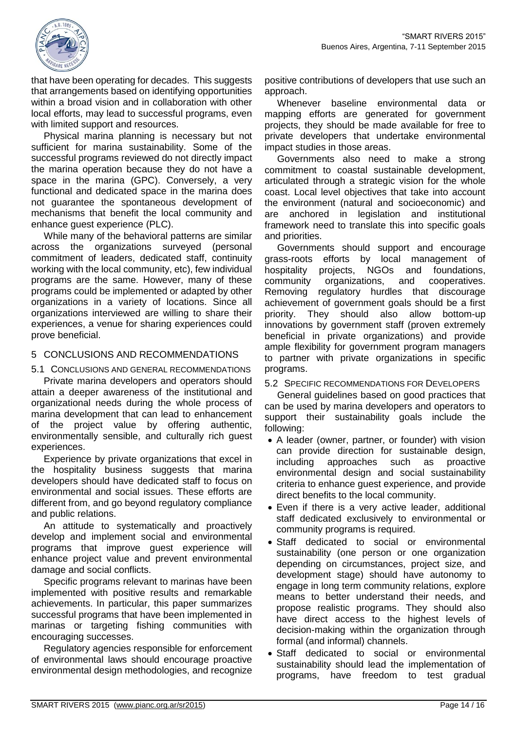

that have been operating for decades. This suggests that arrangements based on identifying opportunities within a broad vision and in collaboration with other local efforts, may lead to successful programs, even with limited support and resources.

Physical marina planning is necessary but not sufficient for marina sustainability. Some of the successful programs reviewed do not directly impact the marina operation because they do not have a space in the marina (GPC). Conversely, a very functional and dedicated space in the marina does not guarantee the spontaneous development of mechanisms that benefit the local community and enhance guest experience (PLC).

While many of the behavioral patterns are similar across the organizations surveyed (personal commitment of leaders, dedicated staff, continuity working with the local community, etc), few individual programs are the same. However, many of these programs could be implemented or adapted by other organizations in a variety of locations. Since all organizations interviewed are willing to share their experiences, a venue for sharing experiences could prove beneficial.

### 5 CONCLUSIONS AND RECOMMENDATIONS

5.1 CONCLUSIONS AND GENERAL RECOMMENDATIONS Private marina developers and operators should attain a deeper awareness of the institutional and organizational needs during the whole process of marina development that can lead to enhancement of the project value by offering authentic, environmentally sensible, and culturally rich guest experiences.

Experience by private organizations that excel in the hospitality business suggests that marina developers should have dedicated staff to focus on environmental and social issues. These efforts are different from, and go beyond regulatory compliance and public relations.

An attitude to systematically and proactively develop and implement social and environmental programs that improve guest experience will enhance project value and prevent environmental damage and social conflicts.

Specific programs relevant to marinas have been implemented with positive results and remarkable achievements. In particular, this paper summarizes successful programs that have been implemented in marinas or targeting fishing communities with encouraging successes.

Regulatory agencies responsible for enforcement of environmental laws should encourage proactive environmental design methodologies, and recognize

positive contributions of developers that use such an approach.

Whenever baseline environmental data or mapping efforts are generated for government projects, they should be made available for free to private developers that undertake environmental impact studies in those areas.

Governments also need to make a strong commitment to coastal sustainable development, articulated through a strategic vision for the whole coast. Local level objectives that take into account the environment (natural and socioeconomic) and are anchored in legislation and institutional framework need to translate this into specific goals and priorities.

Governments should support and encourage grass-roots efforts by local management of hospitality projects, NGOs and foundations, community organizations, and cooperatives. Removing regulatory hurdles that discourage achievement of government goals should be a first priority. They should also allow bottom-up innovations by government staff (proven extremely beneficial in private organizations) and provide ample flexibility for government program managers to partner with private organizations in specific programs.

5.2 SPECIFIC RECOMMENDATIONS FOR DEVELOPERS

General guidelines based on good practices that can be used by marina developers and operators to support their sustainability goals include the following:

- A leader (owner, partner, or founder) with vision can provide direction for sustainable design, including approaches such as proactive environmental design and social sustainability criteria to enhance guest experience, and provide direct benefits to the local community.
- Even if there is a very active leader, additional staff dedicated exclusively to environmental or community programs is required.
- Staff dedicated to social or environmental sustainability (one person or one organization depending on circumstances, project size, and development stage) should have autonomy to engage in long term community relations, explore means to better understand their needs, and propose realistic programs. They should also have direct access to the highest levels of decision-making within the organization through formal (and informal) channels.
- Staff dedicated to social or environmental sustainability should lead the implementation of programs, have freedom to test gradual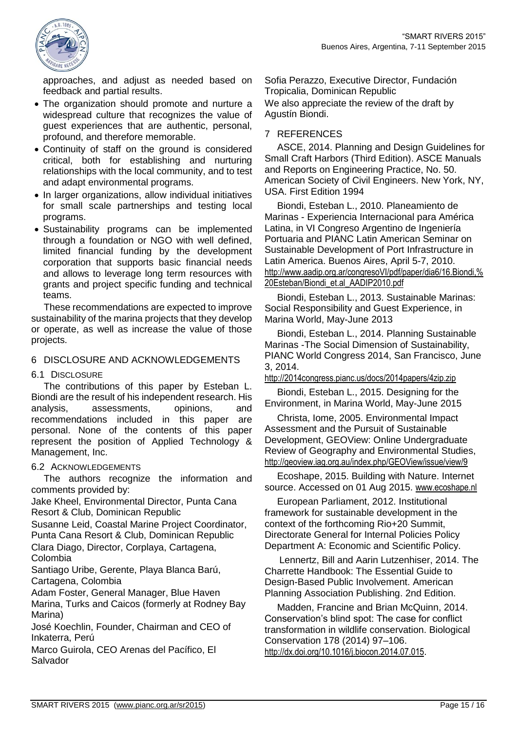

approaches, and adjust as needed based on feedback and partial results.

- The organization should promote and nurture a widespread culture that recognizes the value of guest experiences that are authentic, personal, profound, and therefore memorable.
- Continuity of staff on the ground is considered critical, both for establishing and nurturing relationships with the local community, and to test and adapt environmental programs.
- In larger organizations, allow individual initiatives for small scale partnerships and testing local programs.
- Sustainability programs can be implemented through a foundation or NGO with well defined, limited financial funding by the development corporation that supports basic financial needs and allows to leverage long term resources with grants and project specific funding and technical teams.

These recommendations are expected to improve sustainability of the marina projects that they develop or operate, as well as increase the value of those projects.

### 6 DISCLOSURE AND ACKNOWLEDGEMENTS

#### 6.1 DISCLOSURE

The contributions of this paper by Esteban L. Biondi are the result of his independent research. His analysis, assessments, opinions, and recommendations included in this paper are personal. None of the contents of this paper represent the position of Applied Technology & Management, Inc.

#### 6.2 ACKNOWLEDGEMENTS

The authors recognize the information and comments provided by:

Jake Kheel, Environmental Director, Punta Cana Resort & Club, Dominican Republic

Susanne Leid, Coastal Marine Project Coordinator, Punta Cana Resort & Club, Dominican Republic

Clara Diago, Director, Corplaya, Cartagena, Colombia

Santiago Uribe, Gerente, Playa Blanca Barú, Cartagena, Colombia

Adam Foster, General Manager, Blue Haven Marina, Turks and Caicos (formerly at Rodney Bay Marina)

José Koechlin, Founder, Chairman and CEO of Inkaterra, Perú

Marco Guirola, CEO Arenas del Pacífico, El Salvador

Sofia Perazzo, Executive Director, Fundación Tropicalia, Dominican Republic We also appreciate the review of the draft by Agustín Biondi.

### 7 REFERENCES

ASCE, 2014. Planning and Design Guidelines for Small Craft Harbors (Third Edition). ASCE Manuals and Reports on Engineering Practice, No. 50. American Society of Civil Engineers. New York, NY, USA. First Edition 1994

Biondi, Esteban L., 2010. Planeamiento de Marinas - Experiencia Internacional para América Latina, in VI Congreso Argentino de Ingeniería Portuaria and PIANC Latin American Seminar on Sustainable Development of Port Infrastructure in Latin America. Buenos Aires, April 5-7, 2010. [http://www.aadip.org.ar/congresoVI/pdf/paper/dia6/16.Biondi,%](http://www.aadip.org.ar/congresoVI/pdf/paper/dia6/16.Biondi,%20Esteban/Biondi_et.al_AADIP2010.pdf) [20Esteban/Biondi\\_et.al\\_AADIP2010.pdf](http://www.aadip.org.ar/congresoVI/pdf/paper/dia6/16.Biondi,%20Esteban/Biondi_et.al_AADIP2010.pdf)

Biondi, Esteban L., 2013. Sustainable Marinas: Social Responsibility and Guest Experience, in Marina World, May-June 2013

Biondi, Esteban L., 2014. Planning Sustainable Marinas -The Social Dimension of Sustainability, PIANC World Congress 2014, San Francisco, June 3, 2014.

<http://2014congress.pianc.us/docs/2014papers/4zip.zip>

Biondi, Esteban L., 2015. Designing for the Environment, in Marina World, May-June 2015

Christa, Iome, 2005. Environmental Impact Assessment and the Pursuit of Sustainable Development, GEOView: Online Undergraduate Review of Geography and Environmental Studies, <http://geoview.iag.org.au/index.php/GEOView/issue/view/9>

Ecoshape, 2015. Building with Nature. Internet source. Accessed on 01 Aug 2015. [www.ecoshape.nl](file:///C:/E/Articles-ConferencePresentations/Sustainable%20Marinas%20-%20SmartRivers2015/www.ecoshape.nl)

European Parliament, 2012. Institutional framework for sustainable development in the context of the forthcoming Rio+20 Summit, Directorate General for Internal Policies Policy Department A: Economic and Scientific Policy.

Lennertz, Bill and Aarin Lutzenhiser, 2014. The Charrette Handbook: The Essential Guide to Design-Based Public Involvement. American Planning Association Publishing. 2nd Edition.

Madden, Francine and Brian McQuinn, 2014. Conservation's blind spot: The case for conflict transformation in wildlife conservation. Biological Conservation 178 (2014) 97–106. <http://dx.doi.org/10.1016/j.biocon.2014.07.015>.